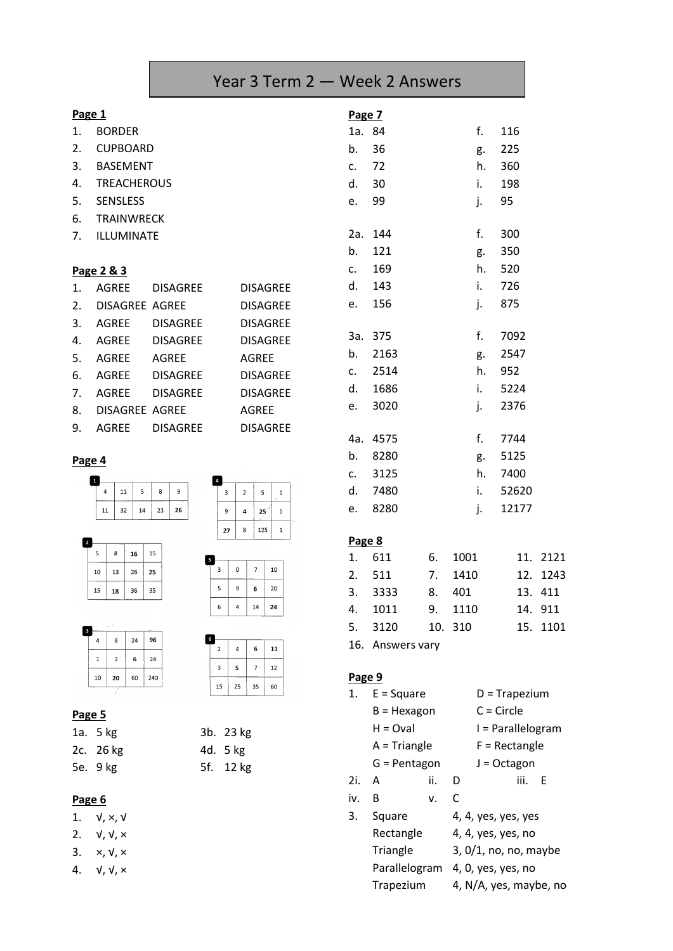# Year 3 Term 2 — Week 2 Answers

| Page 1         |                    |                 | Page 7          |                |         |
|----------------|--------------------|-----------------|-----------------|----------------|---------|
| 1.             | <b>BORDER</b>      |                 |                 | 1a. 84         |         |
| 2.             | <b>CUPBOARD</b>    |                 |                 | b.             | 36      |
| 3.             | <b>BASEMENT</b>    |                 |                 | C <sub>1</sub> | 72      |
| 4.             | <b>TREACHEROUS</b> |                 |                 | d.             | 30      |
| 5.             | <b>SENSLESS</b>    |                 |                 | e.             | 99      |
| 6.             | <b>TRAINWRECK</b>  |                 |                 |                |         |
| 7.             | ILLUMINATE         |                 |                 | 2a.            | 144     |
|                |                    |                 |                 | b.             | 121     |
|                | Page 2 & 3         |                 |                 | C <sub>1</sub> | 169     |
| 1 <sub>1</sub> | AGREE              | DISAGREE        | <b>DISAGREE</b> | d.             | 143     |
| 2.             | DISAGREE AGREE     |                 | <b>DISAGREE</b> | e.             | 156     |
| 3.             | AGREE              | DISAGREE        | <b>DISAGREE</b> |                |         |
| 4.             | AGREE              | <b>DISAGREE</b> | <b>DISAGREE</b> |                | 3a. 375 |
| 5.             | AGREE              | AGREE           | <b>AGREE</b>    | b.             | 2163    |
| 6.             | AGREE              | <b>DISAGREE</b> | <b>DISAGREE</b> | $C_{\bullet}$  | 2514    |
| 7.             | <b>AGREE</b>       | <b>DISAGREE</b> | <b>DISAGREE</b> | d.             | 1686    |
| 8.             | DISAGREE AGREE     |                 | <b>AGREE</b>    | e.             | 3020    |
| 9.             | <b>AGREE</b>       | <b>DISAGREE</b> | <b>DISAGREE</b> |                |         |

**Page 4**







| $\overline{\phantom{a}}$ |   |   |    |    |
|--------------------------|---|---|----|----|
|                          | 3 | O | 7  | 10 |
|                          | 5 | 9 | 6  | 20 |
|                          | 6 | 4 | 14 | 24 |

 $\overline{4}$ 

 $15 \mid 25 \mid 35$ 

 $\overline{2}$  $\overline{\mathbf{3}}$   $6 \mid 11$ 

 $60$ 

 $5 \mid 7 \mid 12$ 

3b. 23 kg

| З |    | w.ch |    |     |  |
|---|----|------|----|-----|--|
|   | 4  | 8    | 24 | 96  |  |
|   | 1  | 2    | 6  | 24  |  |
|   | 10 | 20   | 60 | 240 |  |
|   |    | ×.   |    |     |  |

|--|

| 1a. 5 kg  | 3b. 23 kg |
|-----------|-----------|
| 2c. 26 kg | 4d. 5 kg  |
| 5e. 9 kg  | 5f. 12 kg |

### **Page 6**

- 1. √, ×, √
- 2.  $V, V, x$
- 3.  $\times$ ,  $\sqrt{2}$ ,  $\times$
- 4. √, √, ×

| 1a. 84 |          | $f_{\rm *}$ | 116      |  |  |  |
|--------|----------|-------------|----------|--|--|--|
| b. 36  |          |             | g. 225   |  |  |  |
| c. 72  |          |             | h. 360   |  |  |  |
| d. 30  |          | i.          | 198      |  |  |  |
| e. 99  |          | j.          | 95       |  |  |  |
|        |          |             |          |  |  |  |
|        | 2a. 144  | f.          | 300      |  |  |  |
| b.     | 121      | g.          | 350      |  |  |  |
| c.     | 169      |             | h. 520   |  |  |  |
| d.     | 143      | $i$ .       | 726      |  |  |  |
| e.     | 156      | j.          | 875      |  |  |  |
|        |          |             |          |  |  |  |
|        | 3a. 375  |             | f. 7092  |  |  |  |
|        | b. 2163  |             | g. 2547  |  |  |  |
|        | c. 2514  |             | h. 952   |  |  |  |
|        | d. 1686  |             | i. 5224  |  |  |  |
| e.     | 3020     | j.          | 2376     |  |  |  |
|        |          |             |          |  |  |  |
|        | 4a. 4575 |             | f. 7744  |  |  |  |
|        | b. 8280  |             | g. 5125  |  |  |  |
|        | c. 3125  |             | h. 7400  |  |  |  |
|        | d. 7480  |             | i. 52620 |  |  |  |
|        | e. 8280  | j.          | 12177    |  |  |  |
|        |          |             |          |  |  |  |
| Page 8 |          |             |          |  |  |  |

#### **Page 8**

| 1. 611  | 6. 1001 | 11. 2121 |
|---------|---------|----------|
| 2. 511  | 7. 1410 | 12. 1243 |
| 3. 3333 | 8. 401  | 13. 411  |
| 4. 1011 | 9. 1110 | 14. 911  |
| 5. 3120 | 10. 310 | 15. 1101 |
|         |         |          |

16. Answers vary

#### **Page 9**

| 1.       | $E = Square$                                                  |                         |                        | $D = Trapezium$   |  |  |
|----------|---------------------------------------------------------------|-------------------------|------------------------|-------------------|--|--|
|          | $B =$ Hexagon<br>$H = Oval$<br>$A = Triangle$<br>G = Pentagon |                         | $C = Circle$           |                   |  |  |
|          |                                                               |                         |                        | I = Parallelogram |  |  |
|          |                                                               |                         |                        | $F =$ Rectangle   |  |  |
|          |                                                               |                         |                        | $J = Octagon$     |  |  |
| 2i.      | A                                                             | ii.                     | D                      | iii.<br>E         |  |  |
| iv.      | В                                                             | v.                      | C                      |                   |  |  |
| 3.       | Square                                                        |                         | 4, 4, yes, yes, yes    |                   |  |  |
|          | Rectangle                                                     |                         | 4, 4, yes, yes, no     |                   |  |  |
| Triangle |                                                               | $3, 0/1,$ no, no, maybe |                        |                   |  |  |
|          | Parallelogram                                                 |                         | 4, 0, yes, yes, no     |                   |  |  |
|          | Trapezium                                                     |                         | 4, N/A, yes, maybe, no |                   |  |  |
|          |                                                               |                         |                        |                   |  |  |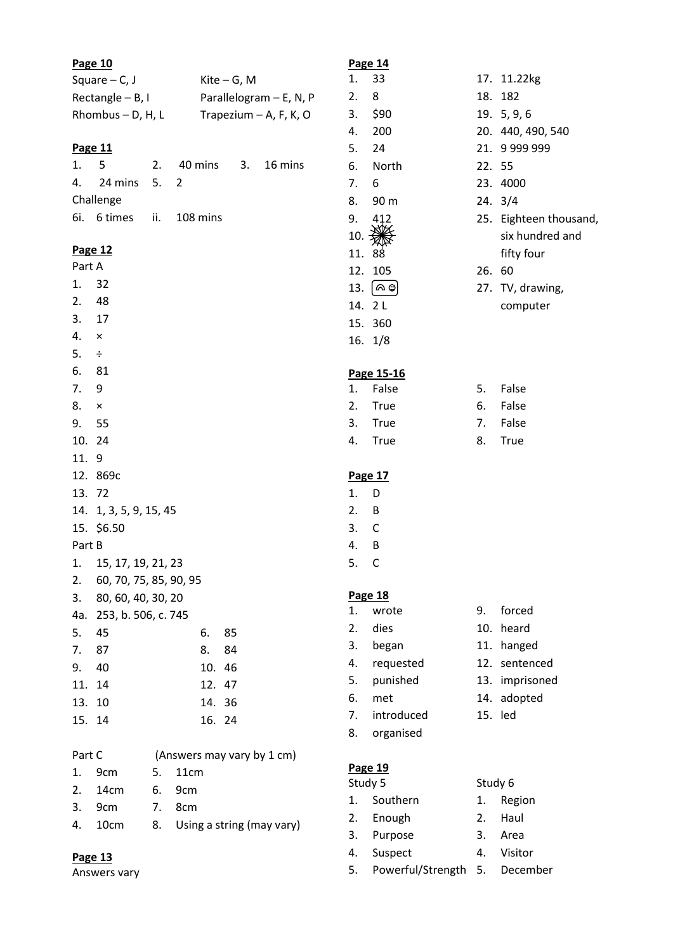| Page 10          |                          |    |      |                         |    |                            |
|------------------|--------------------------|----|------|-------------------------|----|----------------------------|
|                  | Square $-$ C, J          |    |      | $Kite-G, M$             |    |                            |
| Rectangle - B, I |                          |    |      | Parallelogram - E, N, P |    |                            |
|                  | Rhombus $-$ D, H, L      |    |      |                         |    | Trapezium $-$ A, F, K, O   |
|                  |                          |    |      |                         |    |                            |
| <b>Page 11</b>   |                          |    |      |                         |    |                            |
| 1.5              |                          |    |      |                         |    | 2. 40 mins 3. 16 mins      |
|                  | 4. 24 mins 5. 2          |    |      |                         |    |                            |
|                  | Challenge                |    |      |                         |    |                            |
|                  | 6i. 6 times ii. 108 mins |    |      |                         |    |                            |
| Page 12          |                          |    |      |                         |    |                            |
| Part A           |                          |    |      |                         |    |                            |
| 1. 32            |                          |    |      |                         |    |                            |
| 2. 48            |                          |    |      |                         |    |                            |
| 3.17             |                          |    |      |                         |    |                            |
| $4. \times$      |                          |    |      |                         |    |                            |
| $5. \div$        |                          |    |      |                         |    |                            |
| 6. 81            |                          |    |      |                         |    |                            |
| 7. 9             |                          |    |      |                         |    |                            |
| $8. \times$      |                          |    |      |                         |    |                            |
| 9. 55            |                          |    |      |                         |    |                            |
| 10. 24           |                          |    |      |                         |    |                            |
| 11. 9            |                          |    |      |                         |    |                            |
|                  | 12. 869c                 |    |      |                         |    |                            |
| 13. 72           |                          |    |      |                         |    |                            |
|                  | 14. 1, 3, 5, 9, 15, 45   |    |      |                         |    |                            |
|                  | 15. \$6.50               |    |      |                         |    |                            |
| Part B           |                          |    |      |                         |    |                            |
|                  | 1. 15, 17, 19, 21, 23    |    |      |                         |    |                            |
| 2.               | 60, 70, 75, 85, 90, 95   |    |      |                         |    |                            |
| 3.               | 80, 60, 40, 30, 20       |    |      |                         |    |                            |
|                  | 4a. 253, b. 506, c. 745  |    |      |                         |    |                            |
| 5.               | 45                       |    |      | 6.                      | 85 |                            |
| 7.               | 87                       |    |      | 8.                      | 84 |                            |
| 9.               | 40                       |    |      | 10.                     | 46 |                            |
| 11.              | 14                       |    |      | 12.                     | 47 |                            |
| 13.              | 10                       |    |      | 14.                     | 36 |                            |
| 15.              | 14                       |    |      | 16. 24                  |    |                            |
| Part C           |                          |    |      |                         |    |                            |
|                  |                          |    |      |                         |    | (Answers may vary by 1 cm) |
| 1.               | 9cm                      | 5. | 11cm |                         |    |                            |

| Part C |         | (Answers may vary by 1 cm)   |
|--------|---------|------------------------------|
|        | 1. 9cm  | 5. 11cm                      |
|        | 2. 14cm | 6. 9cm                       |
|        | 3. 9cm  | 7. 8cm                       |
|        | 4. 10cm | 8. Using a string (may vary) |
|        |         |                              |

1. D 2. B 3. C 4. B 5. C

# **Page 14** 1. 33 17. 11.22kg 2. 8 18. 182 3. \$90 19. 5, 9, 6 4. 200 20. 440, 490, 540 5. 24 21. 9 999 999 6. North 22. 55 7. 6 23. 4000 8. 90 m 24. 3/4 9.  $412$  25. Eighteen thousand,<br>10.  $\frac{100}{200}$  25. Eighteen thousand, six hundred and 11. 88 fifty four 12. 105 26. 60 13.  $\left[\infty\right]$  27. TV, drawing, 14. 2 L computer 15. 360 16. 1/8 **Page 15-16** 1. False 5. False 2. True 6. False 3. True 7. False 4. True 18. True **Page 17 Page 18** 1. wrote 9. forced 2. dies 10. heard 3. began 11. hanged 4. requested 12. sentenced 5. punished 13. imprisoned 6. met 14. adopted 7. introduced 15. led 8. organised **Page 19**

| Study 5 |                      |    | Study 6  |  |  |
|---------|----------------------|----|----------|--|--|
| 1.      | Southern             | 1. | Region   |  |  |
|         | 2. Enough            | 2. | Haul     |  |  |
| 3.      | Purpose              | 3. | Area     |  |  |
| 4.      | Suspect              | 4. | Visitor  |  |  |
| 5.      | Powerful/Strength 5. |    | December |  |  |

**Page 13** Answers vary